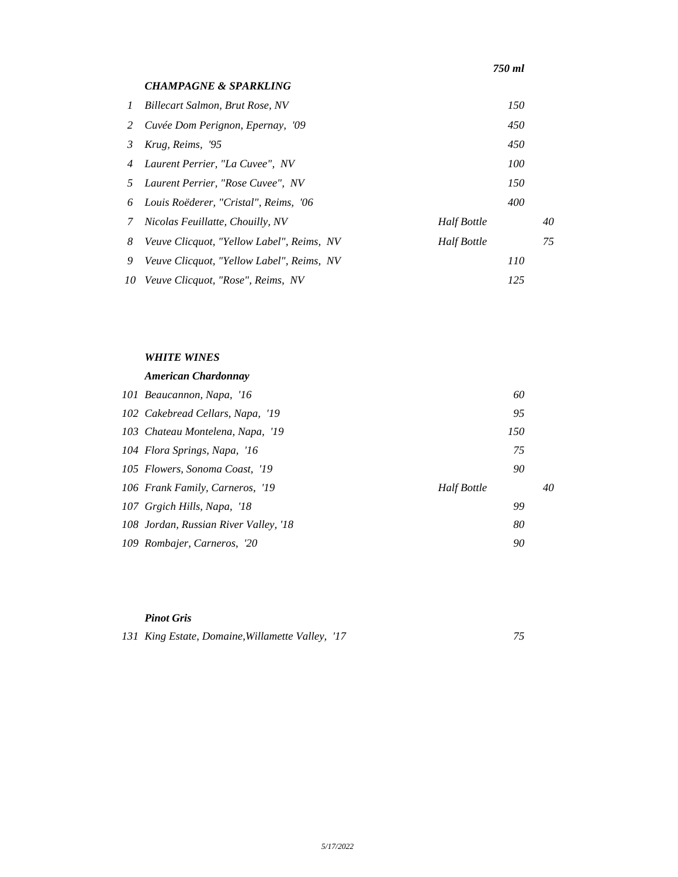|          | <b>CHAMPAGNE &amp; SPARKLING</b>                 |                    |     |    |
|----------|--------------------------------------------------|--------------------|-----|----|
| $\prime$ | Billecart Salmon, Brut Rose, NV                  |                    | 150 |    |
| 2        | Cuvée Dom Perignon, Epernay, '09                 |                    | 450 |    |
| 3        | Krug, Reims, '95                                 |                    | 450 |    |
| 4        | Laurent Perrier, "La Cuvee", NV                  |                    | 100 |    |
| 5.       | Laurent Perrier, "Rose Cuvee", NV                |                    | 150 |    |
| 6        | Louis Roëderer, "Cristal", Reims, '06            |                    | 400 |    |
| 7        | Nicolas Feuillatte, Chouilly, NV                 | Half Bottle        |     | 40 |
| 8        | Veuve Clicquot, "Yellow Label", Reims, NV        | <b>Half Bottle</b> |     | 75 |
| 9        | <i>Veuve Clicquot, "Yellow Label", Reims, NV</i> |                    | 110 |    |
|          | 10 Veuve Clicquot, "Rose", Reims, NV             |                    | 125 |    |

## *WHITE WINES*

## *American Chardonnay*

| 101 Beaucannon, Napa, '16             | 60          |    |
|---------------------------------------|-------------|----|
| 102 Cakebread Cellars, Napa, '19      | 95          |    |
| 103 Chateau Montelena, Napa, '19      | 150         |    |
| 104 Flora Springs, Napa, '16          | 75          |    |
| 105 Flowers, Sonoma Coast, '19        | 90          |    |
| 106 Frank Family, Carneros, '19       | Half Bottle | 40 |
| 107 Grgich Hills, Napa, '18           | 99          |    |
| 108 Jordan, Russian River Valley, '18 | 80          |    |
| 109 Rombajer, Carneros, '20           | 90          |    |

#### *Pinot Gris*

| 131 King Estate, Domaine, Willamette Valley, '17 |  |
|--------------------------------------------------|--|
|                                                  |  |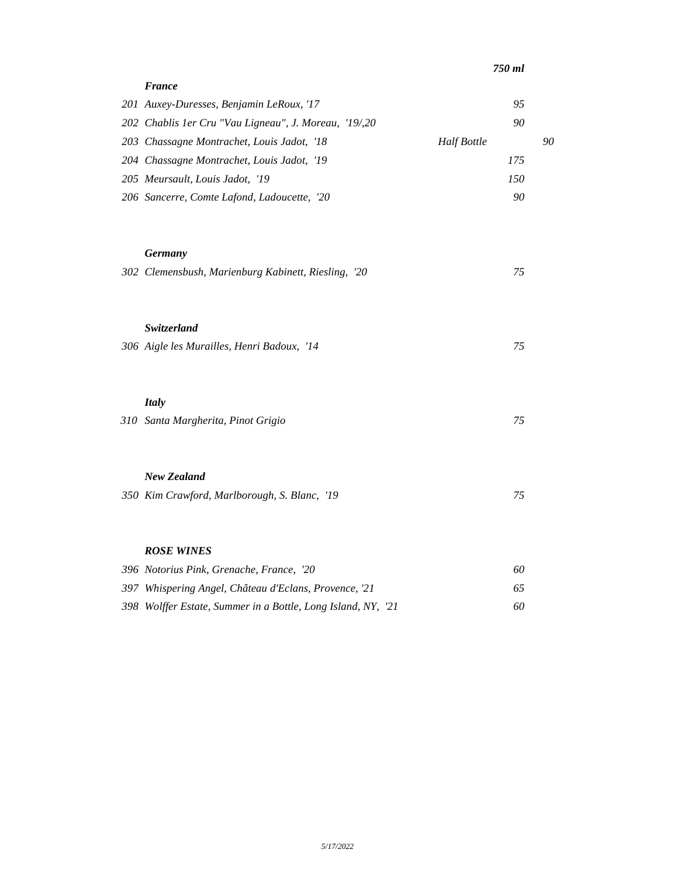| <b>France</b>                                                 |     |    |
|---------------------------------------------------------------|-----|----|
| 201 Auxey-Duresses, Benjamin LeRoux, '17                      | 95  |    |
| 202 Chablis 1er Cru "Vau Ligneau", J. Moreau, '19/20          | 90  |    |
| Half Bottle<br>203 Chassagne Montrachet, Louis Jadot, '18     |     | 90 |
| 204 Chassagne Montrachet, Louis Jadot, '19                    | 175 |    |
| 205 Meursault, Louis Jadot, '19                               | 150 |    |
| 206 Sancerre, Comte Lafond, Ladoucette, '20                   | 90  |    |
| <b>Germany</b>                                                |     |    |
| 302 Clemensbush, Marienburg Kabinett, Riesling, '20           | 75  |    |
| Switzerland                                                   |     |    |
| 306 Aigle les Murailles, Henri Badoux, '14                    | 75  |    |
| <b>Italy</b>                                                  |     |    |
| 310 Santa Margherita, Pinot Grigio                            | 75  |    |
| <b>New Zealand</b>                                            |     |    |
| 350 Kim Crawford, Marlborough, S. Blanc, '19                  | 75  |    |
|                                                               |     |    |
| <b>ROSE WINES</b><br>396 Notorius Pink, Grenache, France, '20 | 60  |    |
| 397 Whispering Angel, Château d'Eclans, Provence, '21         | 65  |    |
| 398 Wolffer Estate, Summer in a Bottle, Long Island, NY, '21  | 60  |    |
|                                                               |     |    |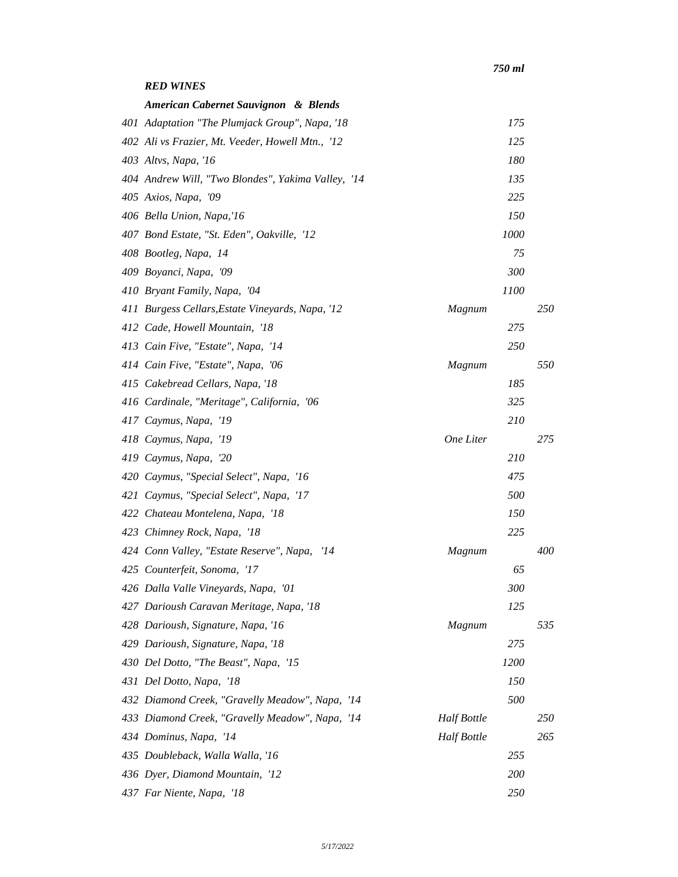## *RED WINES*

| American Cabernet Sauvignon & Blends               |                    |      |     |
|----------------------------------------------------|--------------------|------|-----|
| 401 Adaptation "The Plumjack Group", Napa, '18     |                    | 175  |     |
| 402 Ali vs Frazier, Mt. Veeder, Howell Mtn., '12   |                    | 125  |     |
| 403 Altvs, Napa, '16                               |                    | 180  |     |
| 404 Andrew Will, "Two Blondes", Yakima Valley, '14 |                    | 135  |     |
| 405 Axios, Napa, '09                               |                    | 225  |     |
| 406 Bella Union, Napa,'16                          |                    | 150  |     |
| 407 Bond Estate, "St. Eden", Oakville, '12         |                    | 1000 |     |
| 408 Bootleg, Napa, 14                              |                    | 75   |     |
| 409 Boyanci, Napa, '09                             |                    | 300  |     |
| 410 Bryant Family, Napa, '04                       |                    | 1100 |     |
| 411 Burgess Cellars, Estate Vineyards, Napa, '12   | Magnum             |      | 250 |
| 412 Cade, Howell Mountain, '18                     |                    | 275  |     |
| 413 Cain Five, "Estate", Napa, '14                 |                    | 250  |     |
| 414 Cain Five, "Estate", Napa, '06                 | Magnum             |      | 550 |
| 415 Cakebread Cellars, Napa, '18                   |                    | 185  |     |
| 416 Cardinale, "Meritage", California, '06         |                    | 325  |     |
| 417 Caymus, Napa, '19                              |                    | 210  |     |
| 418 Caymus, Napa, '19                              | One Liter          |      | 275 |
| 419 Caymus, Napa, '20                              |                    | 210  |     |
| 420 Caymus, "Special Select", Napa, '16            |                    | 475  |     |
| 421 Caymus, "Special Select", Napa, '17            |                    | 500  |     |
| 422 Chateau Montelena, Napa, '18                   |                    | 150  |     |
| 423 Chimney Rock, Napa, '18                        |                    | 225  |     |
| 424 Conn Valley, "Estate Reserve", Napa,<br>14     | Magnum             |      | 400 |
| 425 Counterfeit, Sonoma, '17                       |                    | 65   |     |
| 426 Dalla Valle Vineyards, Napa, '01               |                    | 300  |     |
| 427 Darioush Caravan Meritage, Napa, '18           |                    | 125  |     |
| 428 Darioush, Signature, Napa, '16                 | Magnum             |      | 535 |
| 429 Darioush, Signature, Napa, '18                 |                    | 275  |     |
| 430 Del Dotto, "The Beast", Napa, '15              |                    | 1200 |     |
| 431 Del Dotto, Napa, '18                           |                    | 150  |     |
| 432 Diamond Creek, "Gravelly Meadow", Napa, '14    |                    | 500  |     |
| 433 Diamond Creek, "Gravelly Meadow", Napa, '14    | Half Bottle        |      | 250 |
| 434 Dominus, Napa, '14                             | <b>Half Bottle</b> |      | 265 |
| 435 Doubleback, Walla Walla, '16                   |                    | 255  |     |
| 436 Dyer, Diamond Mountain, '12                    |                    | 200  |     |
| 437 Far Niente, Napa, '18                          |                    | 250  |     |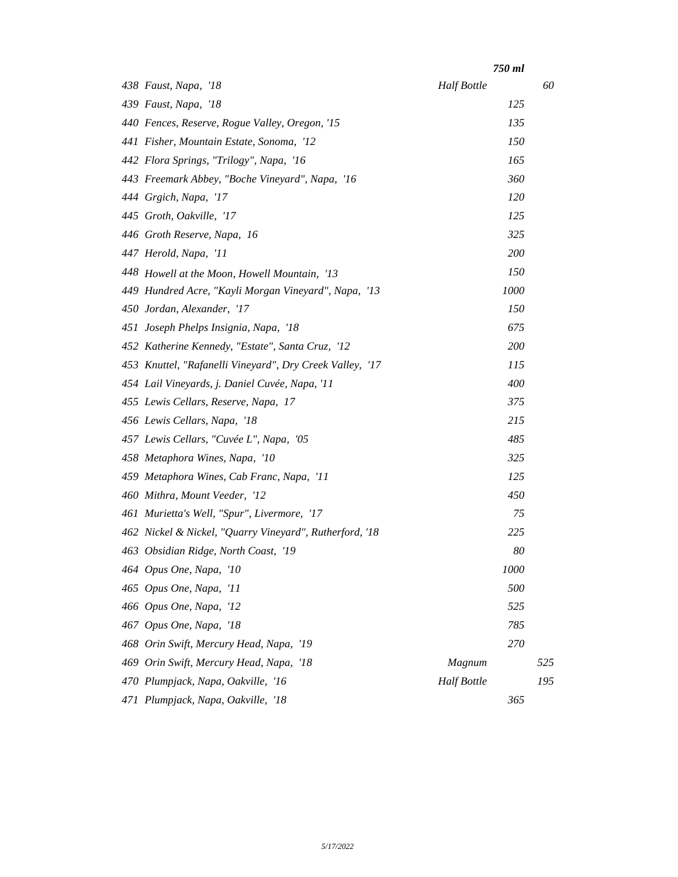|                                                          | 750 ml             |     |
|----------------------------------------------------------|--------------------|-----|
| 438 Faust, Napa, '18                                     | <b>Half Bottle</b> | 60  |
| 439 Faust, Napa, '18                                     | 125                |     |
| 440 Fences, Reserve, Rogue Valley, Oregon, '15           | 135                |     |
| 441 Fisher, Mountain Estate, Sonoma, '12                 | 150                |     |
| 442 Flora Springs, "Trilogy", Napa, '16                  | 165                |     |
| 443 Freemark Abbey, "Boche Vineyard", Napa, '16          | 360                |     |
| 444 Grgich, Napa, '17                                    | <i>120</i>         |     |
| 445 Groth, Oakville, '17                                 | 125                |     |
| 446 Groth Reserve, Napa, 16                              | 325                |     |
| 447 Herold, Napa, '11                                    | 200                |     |
| 448 Howell at the Moon, Howell Mountain, '13             | 150                |     |
| 449 Hundred Acre, "Kayli Morgan Vineyard", Napa, '13     | 1000               |     |
| 450 Jordan, Alexander, '17                               | 150                |     |
| 451 Joseph Phelps Insignia, Napa, '18                    | 675                |     |
| 452 Katherine Kennedy, "Estate", Santa Cruz, '12         | <b>200</b>         |     |
| 453 Knuttel, "Rafanelli Vineyard", Dry Creek Valley, '17 | 115                |     |
| 454 Lail Vineyards, j. Daniel Cuvée, Napa, '11           | 400                |     |
| 455 Lewis Cellars, Reserve, Napa, 17                     | 375                |     |
| 456 Lewis Cellars, Napa, '18                             | 215                |     |
| 457 Lewis Cellars, "Cuvée L", Napa, '05                  | 485                |     |
| 458 Metaphora Wines, Napa, '10                           | 325                |     |
| 459 Metaphora Wines, Cab Franc, Napa, '11                | 125                |     |
| 460 Mithra, Mount Veeder, '12                            | 450                |     |
| 461 Murietta's Well, "Spur", Livermore, '17              | 75                 |     |
| 462 Nickel & Nickel, "Quarry Vineyard", Rutherford, '18  | 225                |     |
| 463 Obsidian Ridge, North Coast, '19                     | 80                 |     |
| 464 Opus One, Napa, '10                                  | 1000               |     |
| 465 Opus One, Napa, '11                                  | 500                |     |
| 466 Opus One, Napa, '12                                  | 525                |     |
| 467 Opus One, Napa, '18                                  | 785                |     |
| 468 Orin Swift, Mercury Head, Napa,<br>'19               | 270                |     |
| 469 Orin Swift, Mercury Head, Napa,<br>'18               | Magnum             | 525 |
| 470 Plumpjack, Napa, Oakville, '16                       | <b>Half Bottle</b> | 195 |
| 471 Plumpjack, Napa, Oakville, '18                       | 365                |     |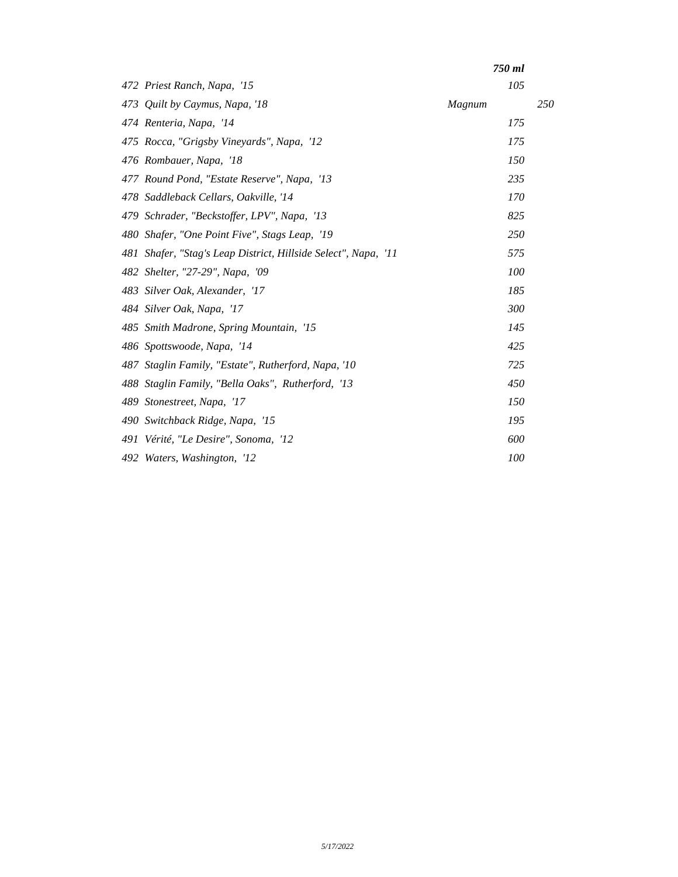|     |                                                                | 750 ml |     |
|-----|----------------------------------------------------------------|--------|-----|
|     | 472 Priest Ranch, Napa, '15                                    | 105    |     |
|     | 473 Quilt by Caymus, Napa, '18                                 | Magnum | 250 |
|     | 474 Renteria, Napa, '14                                        | 175    |     |
|     | 475 Rocca, "Grigsby Vineyards", Napa, '12                      | 175    |     |
|     | 476 Rombauer, Napa, '18                                        | 150    |     |
|     | 477 Round Pond, "Estate Reserve", Napa, '13                    | 235    |     |
|     | 478 Saddleback Cellars, Oakville, '14                          | 170    |     |
|     | 479 Schrader, "Beckstoffer, LPV", Napa, '13                    | 825    |     |
|     | 480 Shafer, "One Point Five", Stags Leap, '19                  | 250    |     |
|     | 481 Shafer, "Stag's Leap District, Hillside Select", Napa, '11 | 575    |     |
|     | 482 Shelter, "27-29", Napa, '09                                | 100    |     |
|     | 483 Silver Oak, Alexander, '17                                 | 185    |     |
|     | 484 Silver Oak, Napa, '17                                      | 300    |     |
|     | 485 Smith Madrone, Spring Mountain, '15                        | 145    |     |
|     | 486 Spottswoode, Napa, '14                                     | 425    |     |
|     | 487 Staglin Family, "Estate", Rutherford, Napa, '10            | 725    |     |
|     | 488 Staglin Family, "Bella Oaks", Rutherford, '13              | 450    |     |
| 489 | Stonestreet, Napa, '17                                         | 150    |     |
|     | 490 Switchback Ridge, Napa, '15                                | 195    |     |
|     | 491 Vérité, "Le Desire", Sonoma, '12                           | 600    |     |
|     | 492 Waters, Washington, '12                                    | 100    |     |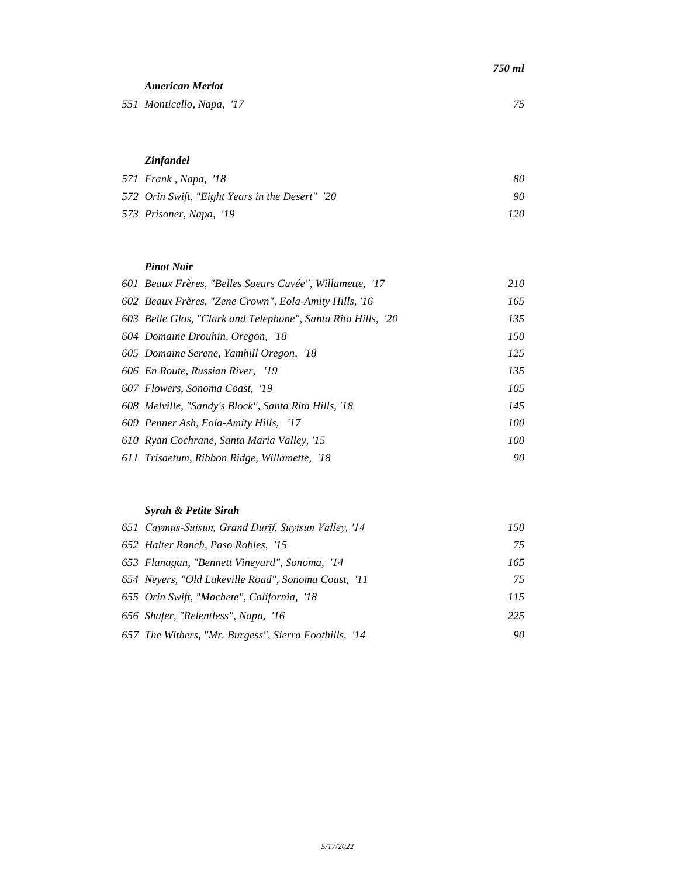| 750 ml |  |
|--------|--|
|        |  |

*American Merlot Monticello, Napa, '17 75*

# *Zinfandel*

| 571 Frank, Napa, '18                           | 80  |
|------------------------------------------------|-----|
| 572 Orin Swift, "Eight Years in the Desert" 20 | 90  |
| 573 Prisoner, Napa, '19                        | 120 |

#### *Pinot Noir*

| 601 Beaux Frères, "Belles Soeurs Cuvée", Willamette, '17    | 210 |
|-------------------------------------------------------------|-----|
| 602 Beaux Frères, "Zene Crown", Eola-Amity Hills, '16       | 165 |
| 603 Belle Glos, "Clark and Telephone", Santa Rita Hills, 20 | 135 |
| 604 Domaine Drouhin, Oregon, '18                            | 150 |
| 605 Domaine Serene, Yamhill Oregon, '18                     | 125 |
| 606 En Route, Russian River, '19                            | 135 |
| 607 Flowers, Sonoma Coast, '19                              | 105 |
| 608 Melville, "Sandy's Block", Santa Rita Hills, '18        | 145 |
| 609 Penner Ash, Eola-Amity Hills, '17                       | 100 |
| 610 Ryan Cochrane, Santa Maria Valley, '15                  | 100 |
| 611 Trisaetum, Ribbon Ridge, Willamette, '18                | 90  |

## *Syrah & Petite Sirah*

| 652 Halter Ranch, Paso Robles, '15<br>653 Flanagan, "Bennett Vineyard", Sonoma, '14<br>654 Neyers, "Old Lakeville Road", Sonoma Coast, '11<br>655 Orin Swift, "Machete", California, '18<br>656 Shafer, "Relentless", Napa, '16<br>657 The Withers, "Mr. Burgess", Sierra Foothills, '14 | 651 Caymus-Suisun, Grand Durīf, Suyisun Valley, '14 | 150 |
|------------------------------------------------------------------------------------------------------------------------------------------------------------------------------------------------------------------------------------------------------------------------------------------|-----------------------------------------------------|-----|
|                                                                                                                                                                                                                                                                                          |                                                     | 75  |
|                                                                                                                                                                                                                                                                                          |                                                     | 165 |
|                                                                                                                                                                                                                                                                                          |                                                     | 75  |
|                                                                                                                                                                                                                                                                                          |                                                     | 115 |
|                                                                                                                                                                                                                                                                                          |                                                     | 225 |
|                                                                                                                                                                                                                                                                                          |                                                     | 90  |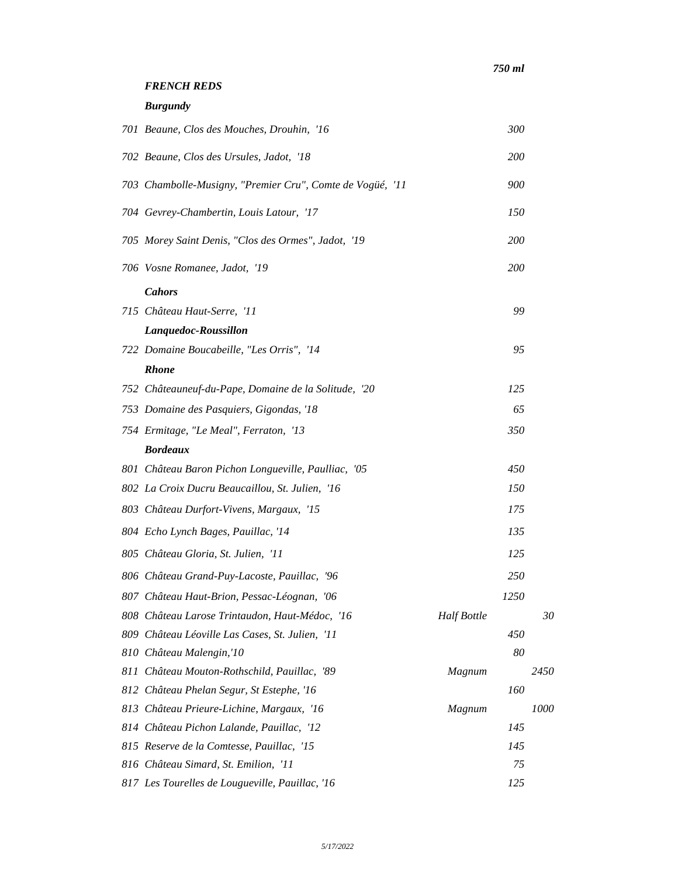## *FRENCH REDS*

*Burgundy*

| 701 Beaune, Clos des Mouches, Drouhin, '16                |                    | 300        |      |
|-----------------------------------------------------------|--------------------|------------|------|
| 702 Beaune, Clos des Ursules, Jadot, '18                  |                    | <i>200</i> |      |
| 703 Chambolle-Musigny, "Premier Cru", Comte de Vogüé, '11 |                    | 900        |      |
| 704 Gevrey-Chambertin, Louis Latour, '17                  |                    | 150        |      |
| 705 Morey Saint Denis, "Clos des Ormes", Jadot, '19       |                    | 200        |      |
| 706 Vosne Romanee, Jadot, '19                             |                    | 200        |      |
| <b>Cahors</b>                                             |                    |            |      |
| 715 Château Haut-Serre, '11                               |                    | 99         |      |
| Lanquedoc-Roussillon                                      |                    |            |      |
| 722 Domaine Boucabeille, "Les Orris", '14                 |                    | 95         |      |
| <b>Rhone</b>                                              |                    |            |      |
| 752 Châteauneuf-du-Pape, Domaine de la Solitude, '20      |                    | 125        |      |
| 753 Domaine des Pasquiers, Gigondas, '18                  |                    | 65         |      |
| 754 Ermitage, "Le Meal", Ferraton, '13                    |                    | 350        |      |
| <b>Bordeaux</b>                                           |                    |            |      |
| 801 Château Baron Pichon Longueville, Paulliac, '05       |                    | 450        |      |
| 802 La Croix Ducru Beaucaillou, St. Julien, '16           |                    | 150        |      |
| 803 Château Durfort-Vivens, Margaux, '15                  |                    | 175        |      |
| 804 Echo Lynch Bages, Pauillac, '14                       |                    | 135        |      |
| 805 Château Gloria, St. Julien, '11                       |                    | 125        |      |
| 806 Château Grand-Puy-Lacoste, Pauillac, '96              |                    | 250        |      |
| 807 Château Haut-Brion, Pessac-Léognan, '06               |                    | 1250       |      |
| 808 Château Larose Trintaudon, Haut-Médoc, '16            | <b>Half Bottle</b> |            | 30   |
| 809 Château Léoville Las Cases, St. Julien, '11           |                    | 450        |      |
| 810 Château Malengin,'10                                  |                    | 80         |      |
| 811 Château Mouton-Rothschild, Pauillac, '89              | Magnum             |            | 2450 |
| 812 Château Phelan Segur, St Estephe, '16                 |                    | 160        |      |
| 813 Château Prieure-Lichine, Margaux, '16                 | Magnum             |            | 1000 |
| 814 Château Pichon Lalande, Pauillac, '12                 |                    | 145        |      |
| 815 Reserve de la Comtesse, Pauillac, '15                 |                    | 145        |      |
| 816 Château Simard, St. Emilion, '11                      |                    | 75         |      |
| 817 Les Tourelles de Lougueville, Pauillac, '16           |                    | 125        |      |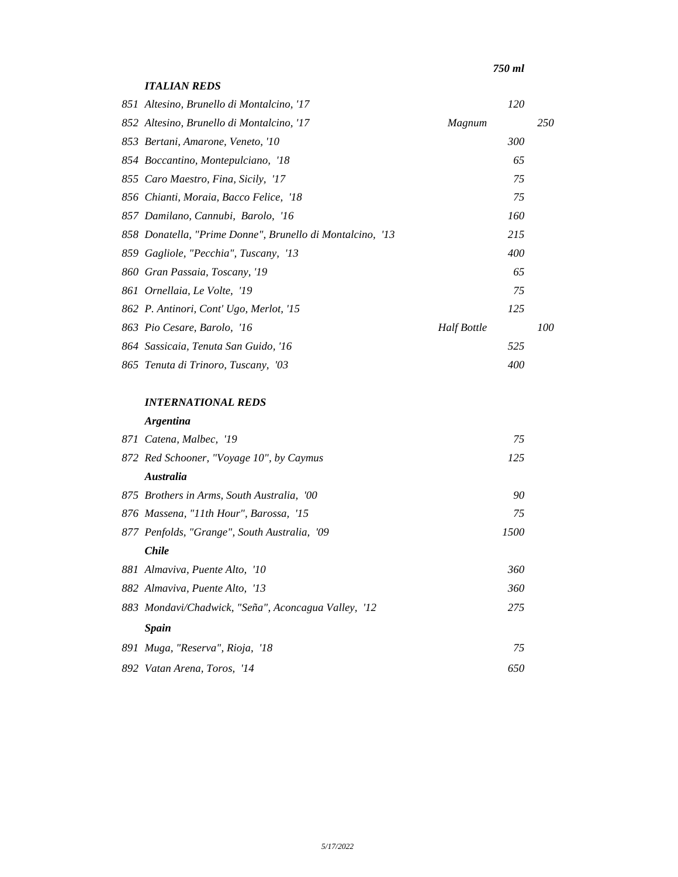## *ITALIAN REDS*

| 851 Altesino, Brunello di Montalcino, '17                 |             | 120 |     |
|-----------------------------------------------------------|-------------|-----|-----|
| 852 Altesino, Brunello di Montalcino, '17                 | Magnum      |     | 250 |
| 853 Bertani, Amarone, Veneto, '10                         |             | 300 |     |
| 854 Boccantino, Montepulciano, '18                        |             | 65  |     |
| 855 Caro Maestro, Fina, Sicily, '17                       |             | 75  |     |
| 856 Chianti, Moraia, Bacco Felice, '18                    |             | 75  |     |
| 857 Damilano, Cannubi, Barolo, '16                        |             | 160 |     |
| 858 Donatella, "Prime Donne", Brunello di Montalcino, '13 |             | 215 |     |
| 859 Gagliole, "Pecchia", Tuscany, '13                     |             | 400 |     |
| 860 Gran Passaia, Toscany, '19                            |             | 65  |     |
| 861 Ornellaia, Le Volte, '19                              |             | 75  |     |
| 862 P. Antinori, Cont' Ugo, Merlot, '15                   |             | 125 |     |
| 863 Pio Cesare, Barolo, '16                               | Half Bottle |     | 100 |
| 864 Sassicaia, Tenuta San Guido, '16                      |             | 525 |     |
| 865 Tenuta di Trinoro, Tuscany, '03                       |             | 400 |     |

## *INTERNATIONAL REDS*

## *Argentina*

| 871 Catena, Malbec, '19                             | 75   |
|-----------------------------------------------------|------|
| 872 Red Schooner, "Voyage 10", by Caymus            | 125  |
| <b>Australia</b>                                    |      |
| 875 Brothers in Arms, South Australia, '00          | 90   |
| 876 Massena, "11th Hour", Barossa, '15              | 75   |
| 877 Penfolds, "Grange", South Australia, '09        | 1500 |
| <i>Chile</i>                                        |      |
| 881 Almaviva, Puente Alto, '10                      | 360  |
| 882 Almaviva, Puente Alto, '13                      | 360  |
| 883 Mondavi/Chadwick, "Seña", Aconcagua Valley, '12 | 275  |
| <b>Spain</b>                                        |      |
| 891 Muga, "Reserva", Rioja, '18                     | 75   |
| 892 Vatan Arena, Toros, '14                         | 650  |